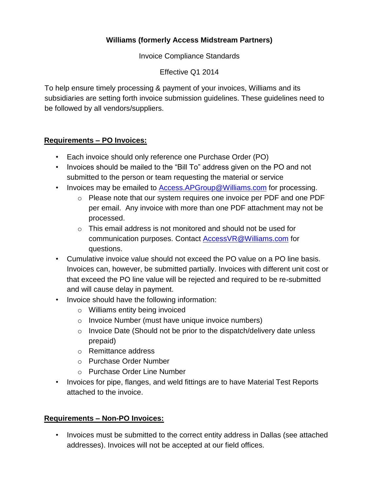## **Williams (formerly Access Midstream Partners)**

Invoice Compliance Standards

Effective Q1 2014

To help ensure timely processing & payment of your invoices, Williams and its subsidiaries are setting forth invoice submission guidelines. These guidelines need to be followed by all vendors/suppliers.

## **Requirements – PO Invoices:**

- Each invoice should only reference one Purchase Order (PO)
- Invoices should be mailed to the "Bill To" address given on the PO and not submitted to the person or team requesting the material or service
- Invoices may be emailed to Access.APGroup@Williams.com for processing.
	- o Please note that our system requires one invoice per PDF and one PDF per email. Any invoice with more than one PDF attachment may not be processed.
	- o This email address is not monitored and should not be used for communication purposes. Contact AccessVR@Williams.com for questions.
- Cumulative invoice value should not exceed the PO value on a PO line basis. Invoices can, however, be submitted partially. Invoices with different unit cost or that exceed the PO line value will be rejected and required to be re-submitted and will cause delay in payment.
- Invoice should have the following information:
	- o Williams entity being invoiced
	- o Invoice Number (must have unique invoice numbers)
	- o Invoice Date (Should not be prior to the dispatch/delivery date unless prepaid)
	- o Remittance address
	- o Purchase Order Number
	- o Purchase Order Line Number
- Invoices for pipe, flanges, and weld fittings are to have Material Test Reports attached to the invoice.

## **Requirements – Non-PO Invoices:**

• Invoices must be submitted to the correct entity address in Dallas (see attached addresses). Invoices will not be accepted at our field offices.